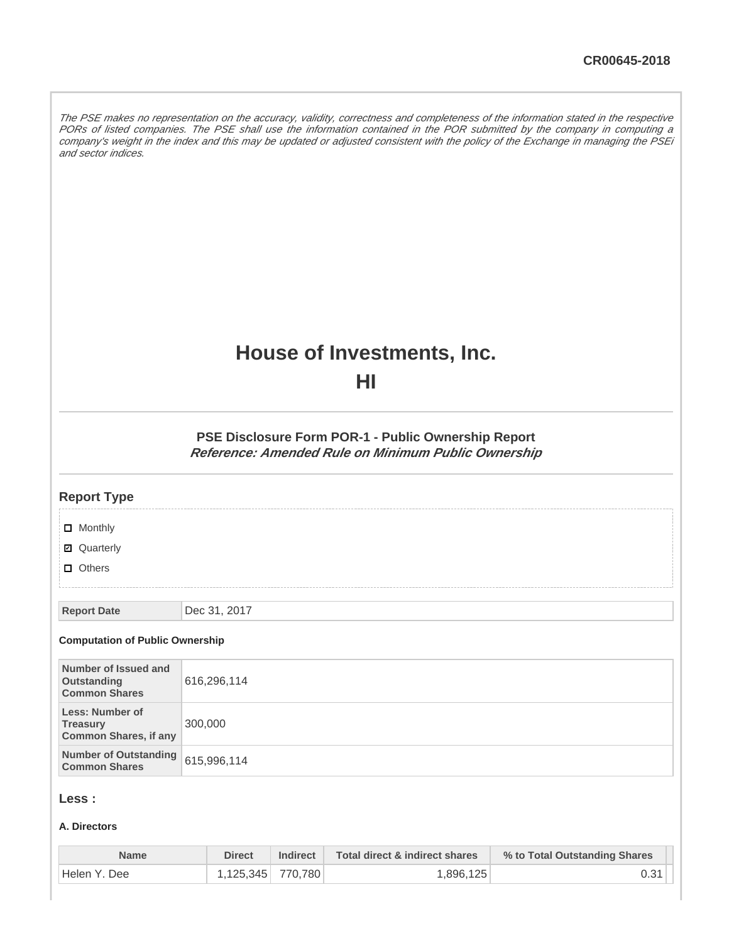The PSE makes no representation on the accuracy, validity, correctness and completeness of the information stated in the respective PORs of listed companies. The PSE shall use the information contained in the POR submitted by the company in computing a company's weight in the index and this may be updated or adjusted consistent with the policy of the Exchange in managing the PSEi and sector indices.

# **House of Investments, Inc.**

**HI**

**PSE Disclosure Form POR-1 - Public Ownership Report Reference: Amended Rule on Minimum Public Ownership**

| <b>Report Type</b>                                                        |              |
|---------------------------------------------------------------------------|--------------|
| $\Box$ Monthly                                                            |              |
| <b>Ø</b> Quarterly                                                        |              |
| $\Box$ Others                                                             |              |
|                                                                           |              |
| <b>Report Date</b>                                                        | Dec 31, 2017 |
| <b>Computation of Public Ownership</b>                                    |              |
| Number of Issued and<br>Outstanding<br><b>Common Shares</b>               | 616,296,114  |
| <b>Less: Number of</b><br><b>Treasury</b><br><b>Common Shares, if any</b> | 300,000      |
| <b>Number of Outstanding</b><br><b>Common Shares</b>                      | 615,996,114  |
|                                                                           |              |

# **Less :**

#### **A. Directors**

| Name          | <b>Direct</b>     | Indirect | Total direct & indirect shares | % to Total Outstanding Shares |
|---------------|-------------------|----------|--------------------------------|-------------------------------|
| 'Helen Y. Dee | 1,125,345 770,780 |          | 1.896.125                      |                               |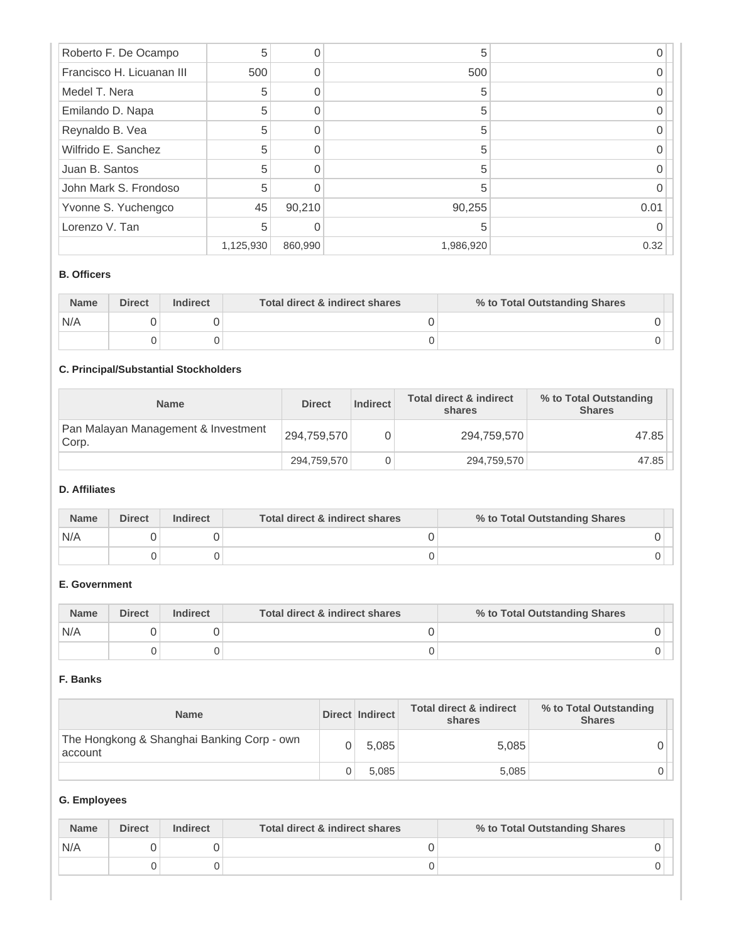| Roberto F. De Ocampo      | 5         | 0       | 5         |      |
|---------------------------|-----------|---------|-----------|------|
| Francisco H. Licuanan III | 500       | 0       | 500       |      |
| Medel T. Nera             | 5         | ∩       | 5         |      |
| Emilando D. Napa          | 5         | 0       | 5         |      |
| Reynaldo B. Vea           | 5         | ∩       | 5         |      |
| Wilfrido E. Sanchez       | 5         |         | 5         |      |
| Juan B. Santos            | 5         | ∩       | 5         |      |
| John Mark S. Frondoso     | 5         |         | 5         |      |
| Yvonne S. Yuchengco       | 45        | 90,210  | 90,255    | 0.01 |
| Lorenzo V. Tan            | 5         |         | 5         |      |
|                           | 1,125,930 | 860,990 | 1,986,920 | 0.32 |

#### **B. Officers**

| <b>Name</b> | <b>Direct</b> | <b>Indirect</b> | Total direct & indirect shares | % to Total Outstanding Shares |
|-------------|---------------|-----------------|--------------------------------|-------------------------------|
| N/A         |               |                 |                                |                               |
|             |               |                 |                                |                               |

# **C. Principal/Substantial Stockholders**

| <b>Name</b>                                  | <b>Direct</b> | Indirect | <b>Total direct &amp; indirect</b><br>shares | % to Total Outstanding<br><b>Shares</b> |
|----------------------------------------------|---------------|----------|----------------------------------------------|-----------------------------------------|
| Pan Malayan Management & Investment<br>Corp. | 294,759,570   |          | 294,759,570                                  | 47.85                                   |
|                                              | 294,759,570   |          | 294,759,570                                  | 47.85                                   |

## **D. Affiliates**

| <b>Name</b> | <b>Direct</b> | <b>Indirect</b> | Total direct & indirect shares | % to Total Outstanding Shares |  |
|-------------|---------------|-----------------|--------------------------------|-------------------------------|--|
| N/A         |               |                 |                                |                               |  |
|             |               |                 |                                |                               |  |

# **E. Government**

| <b>Name</b> | <b>Direct</b> | <b>Indirect</b> | Total direct & indirect shares | % to Total Outstanding Shares |  |
|-------------|---------------|-----------------|--------------------------------|-------------------------------|--|
| N/A         |               |                 |                                |                               |  |
|             |               |                 |                                |                               |  |

## **F. Banks**

| <b>Name</b>                                           | Direct Indirect | <b>Total direct &amp; indirect</b><br>shares | % to Total Outstanding<br><b>Shares</b> |
|-------------------------------------------------------|-----------------|----------------------------------------------|-----------------------------------------|
| The Hongkong & Shanghai Banking Corp - own<br>account | 5.085           | 5,085                                        |                                         |
|                                                       | 5.085           | 5,085                                        |                                         |

## **G. Employees**

| <b>Name</b> | <b>Direct</b> | <b>Indirect</b> | Total direct & indirect shares | % to Total Outstanding Shares |
|-------------|---------------|-----------------|--------------------------------|-------------------------------|
| N/A         |               |                 |                                |                               |
|             |               |                 |                                |                               |